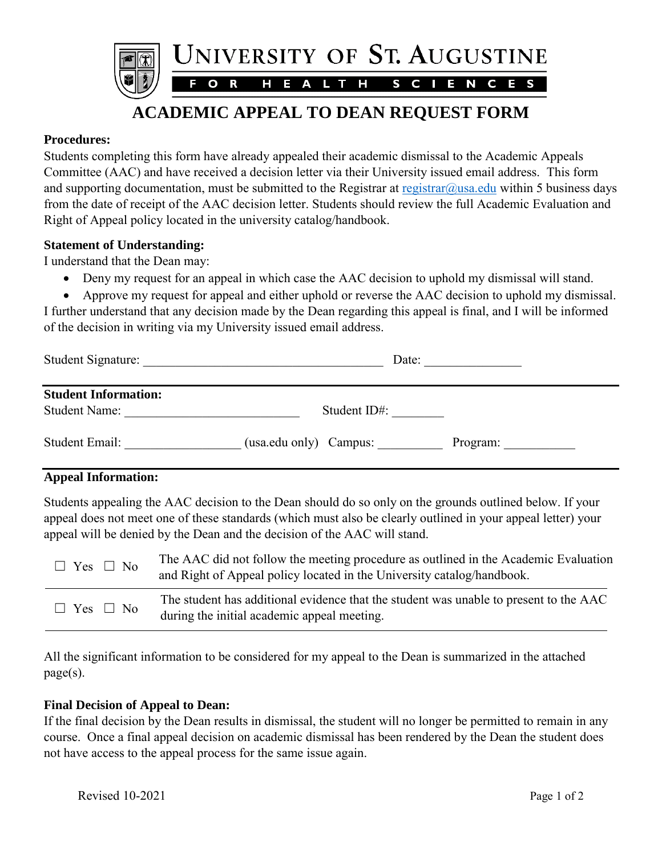

# **ACADEMIC APPEAL TO DEAN REQUEST FORM**

## **Procedures:**

Students completing this form have already appealed their academic dismissal to the Academic Appeals Committee (AAC) and have received a decision letter via their University issued email address. This form and supporting documentation, must be submitted to the Registrar at registrar  $\omega$ usa.edu within 5 business days from the date of receipt of the AAC decision letter. Students should review the full Academic Evaluation and Right of Appeal policy located in the university catalog/handbook.

## **Statement of Understanding:**

I understand that the Dean may:

- Deny my request for an appeal in which case the AAC decision to uphold my dismissal will stand.
- Approve my request for appeal and either uphold or reverse the AAC decision to uphold my dismissal. I further understand that any decision made by the Dean regarding this appeal is final, and I will be informed of the decision in writing via my University issued email address.

| Student Signature:                                  | Date:                              |  |
|-----------------------------------------------------|------------------------------------|--|
| <b>Student Information:</b><br><b>Student Name:</b> | Student ID#:                       |  |
| Student Email:                                      | (usa.edu only) Campus:<br>Program: |  |

## **Appeal Information:**

Students appealing the AAC decision to the Dean should do so only on the grounds outlined below. If your appeal does not meet one of these standards (which must also be clearly outlined in your appeal letter) your appeal will be denied by the Dean and the decision of the AAC will stand.

| $\Box$ Yes $\Box$ No | The AAC did not follow the meeting procedure as outlined in the Academic Evaluation<br>and Right of Appeal policy located in the University catalog/handbook. |
|----------------------|---------------------------------------------------------------------------------------------------------------------------------------------------------------|
| $\Box$ Yes $\Box$ No | The student has additional evidence that the student was unable to present to the AAC<br>during the initial academic appeal meeting.                          |

All the significant information to be considered for my appeal to the Dean is summarized in the attached page(s).

#### **Final Decision of Appeal to Dean:**

If the final decision by the Dean results in dismissal, the student will no longer be permitted to remain in any course. Once a final appeal decision on academic dismissal has been rendered by the Dean the student does not have access to the appeal process for the same issue again.